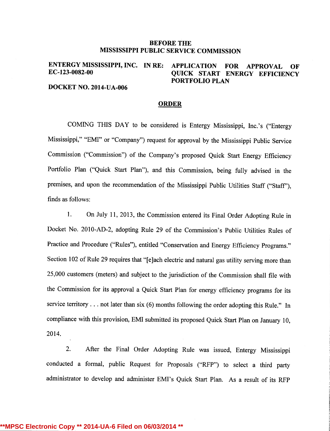#### BEFORE THE MISSISSIPPI PUBLIC SERVICE COMMISSION

# ENTERGY MISSISSIPPI, INC. IN RE: APPLICATION FOR APPROVAL OF EC-123-0082-00 QUICK START ENERGY EFFICIENCY PORTFOLIO PLAN

DOCKET NO. 2014-UA-006

#### ORDER

COMING THIS DAY to be considered is Entergy Mississippi, Inc.'s ("Entergy Mississippi," "EMI" or "Company") request for approval by the Mississippi Public Service Commission ("Commission") of the Company's proposed Quick Start Energy Efficiency Portfolio Plan ("Quick Start Plan"), and this Commission, being fully advised in the premises, and upon the recommendation of the Mississippi Public Utilities Staff ("Staff"), finds as follows:

1. On July 11, 2013, the Commission entered its Final Order Adopting Rule in Docket No. 2010-AD-2, adopting Rule 29 of the Commission's Public Utilities Rules of Practice and Procedure ("Rules"), entitled "Conservation and Energy Efficiency Programs." Section 102 of Rule 29 requires that "[e]ach electric and natural gas utility serving more than 25,000 customers (meters) and subject to the jurisdiction of the Commission shall file with the Commission for its approval a Quick Start Plan for energy efficiency programs for its service territory . . . not later than six (6) months following the order adopting this Rule." In compliance with this provision, EMI submitted its proposed Quick Start Plan on January 10, 2014.

2. After the Final Order Adopting Rule was issued, Entergy Mississippi conducted a formal, public Request for Proposals ("RFP") to select a third party administrator to develop and administer EMI's Quick Start Plan. As a result of its RFP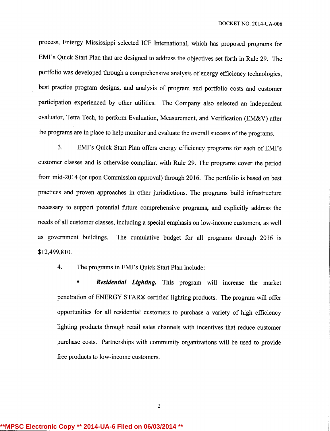process, Entergy Mississippi selected ICF International, which has proposed programs for EMI's Quick Start Plan that are designed to address the objectives set forth in Rule 29. The portfolio was developed through a comprehensive analysis of energy efficiency technologies, best practice program designs, and analysis of program and portfolio costs and customer participation experienced by other utilities. The Company also selected an independent evaluator, Tetra Tech, to perform Evaluation, Measurement, and Verification (EM&V) after the programs are in place to help monitor and evaluate the overall success of the programs.

3. EMI's Quick Start Plan offers energy efficiency programs for each of EMI's customer classes and is otherwise compliant with Rule 29. The programs cover the period from mid-2014 (or upon Commission approval) through 2016. The portfolio is based on best practices and proven approaches in other jurisdictions.The programs build infrastructure necessary to support potential future comprehensive programs, and explicitly address the needs of all customer classes, including a special emphasis on low-income customers, as well as government buildings. The cumulative budget for all programs through 2016 is \$12,499,810.

4. The programs in EMI's Quick Start Plan include:

**Residential Lighting.** This program will increase the market penetration of ENERGY STAR® certified lighting products. The program will offer opportunities for all residential customers to purchase a variety of high efficiency lighting products through retail sales channels with incentives that reduce customer purchase costs. Partnerships with community organizations will be used to provide free products to low-income customers.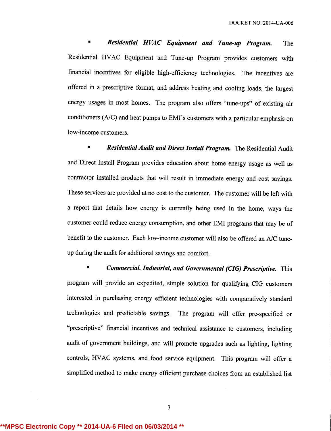**Residential HVAC Equipment and Tune-up Program.** The Residential HVAC Equipment and Tune-up Program provides customers with financial incentives for eligible high-efficiency technologies. The incentives are offered in a prescriptive format, and address heating and cooling loads, the largest energy usages in most homes. The program also offers "tune-ups" of existing air conditioners (A/C) and heat pumps to EMI's customers with a particular emphasis on low-income customers.

Residential Audit and Direct Install Program. The Residential Audit and Direct Install Program provides education about home energy usage as well as contractor installed products that will result in immediate energy and cost savings. These services are provided at no cost to the customer. The customer will be left with a report that details how energy is currently being used in the home, ways the customer could reduce energy consumption, and other EMI programs that may be of benefit to the customer. Each low-income customer will also be offered an A/C tuneup during the audit for additional savings and comfort.

• Commercial, Industrial, and Governmental (CIG) Prescriptive. This program will provide an expedited, simple solution for qualifying CIG customers interested in purchasing energy efficient technologies with comparatively standard technologies and predictable savings. The program will offer pre-specified or "prescriptive" financial incentives and technical assistance to customers, including audit of government buildings, and will promote upgrades such as lighting, lighting controls, HVAC systems, and food service equipment. This program will offer a simplified method to make energy efficient purchase choices from an established list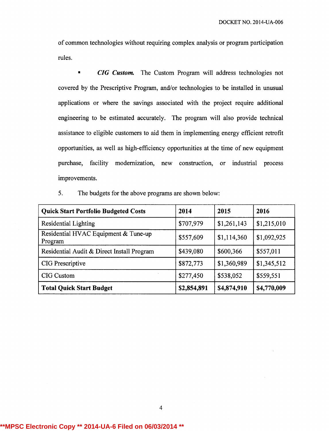of common technologies without requiring complex analysis or program participation rules.

• CIG Custom. The Custom Program will address technologies not covered by the Prescriptive Program, and/or technologies to be installed in unusual applications or where the savings associated with the project require additional engineering to be estimated accurately. The program will also provide technical assistance to eligible customers to aid them in implementing energy efficient retrofit opportunities, as well as high-efficiency opportunities at the time of new equipment purchase, facility modernization, new construction, or industrial process improvements.

5. The budgets for the above programs are shown below:

| <b>Quick Start Portfolio Budgeted Costs</b>     | 2014        | 2015        | 2016        |
|-------------------------------------------------|-------------|-------------|-------------|
| Residential Lighting                            | \$707,979   | \$1,261,143 | \$1,215,010 |
| Residential HVAC Equipment & Tune-up<br>Program | \$557,609   | \$1,114,360 | \$1,092,925 |
| Residential Audit & Direct Install Program      | \$439,080   | \$600,366   | \$557,011   |
| CIG Prescriptive                                | \$872,773   | \$1,360,989 | \$1,345,512 |
| CIG Custom                                      | \$277,450   | \$538,052   | \$559,551   |
| <b>Total Quick Start Budget</b>                 | \$2,854,891 | \$4,874,910 | \$4,770,009 |

**\*\*MPSC Electronic Copy \*\* 2014-UA-6 Filed on 06/03/2014 \*\***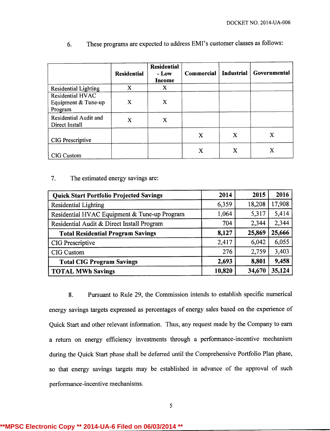|                                                    | <b>Residential</b> | <b>Residential</b><br>- Low<br>Income | Commercial | <b>Industrial</b> | Governmental |
|----------------------------------------------------|--------------------|---------------------------------------|------------|-------------------|--------------|
| Residential Lighting                               | X                  | X                                     |            |                   |              |
| Residential HVAC<br>Equipment & Tune-up<br>Program | x                  | X                                     |            |                   |              |
| Residential Audit and<br>Direct Install            | X                  | X                                     |            |                   |              |
| CIG Prescriptive                                   |                    |                                       | X          | X                 | x            |
| CIG Custom                                         |                    |                                       | X          | X                 | Х            |

6. These programs are expected to address EMI's customer classes as follows:

#### 7. The estimated energy savings are:

| <b>Quick Start Portfolio Projected Savings</b> | 2014   | 2015   | 2016   |
|------------------------------------------------|--------|--------|--------|
| <b>Residential Lighting</b>                    | 6,359  | 18,208 | 17,908 |
| Residential HVAC Equipment & Tune-up Program   | 1,064  | 5,317  | 5,414  |
| Residential Audit & Direct Install Program     | 704    | 2,344  | 2,344  |
| <b>Total Residential Program Savings</b>       | 8,127  | 25,869 | 25,666 |
| CIG Prescriptive                               | 2,417  | 6,042  | 6,055  |
| CIG Custom                                     | 276    | 2,759  | 3,403  |
| <b>Total CIG Program Savings</b>               | 2,693  | 8,801  | 9,458  |
| <b>TOTAL MWh Savings</b>                       | 10,820 | 34,670 | 35,124 |

8. Pursuant to Rule 29, the Commission intends to establish specific numerical energy savings targets expressed as percentages of energy sales based on the experience of Quick Start and other relevant information. Thus, any request made by the Company to earn a return on energy efficiency investments through a performance-incentive mechanism during the Quick Start phase shall be deferred until the Comprehensive Portfolio Plan phase, so that energy savings targets may be established in advance of the approval of such performance-incentive mechanisms.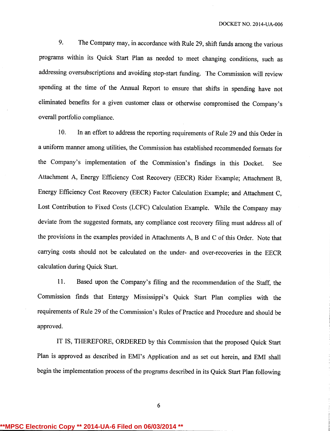9. The Company may, in accordance with Rule 29, shift funds among the various programs within its Quick Start Plan as needed to meet changing conditions, such as addressing oversubscriptions and avoiding stop-start funding. The Commission will review spending at the time of the Annual Report to ensure that shifts in spending have not eliminated benefits for a given customer class or otherwise compromised the Company's overall portfolio compliance.

10. In an effort to address the reporting requirements of Rule 29 and this Order in a uniform manner among utilities, the Commission has established recommended formats for the Company's implementation of the Commission's findings in this Docket. See Attachment A, Energy Efficiency Cost Recovery (EECR) Rider Example; Attachment B, Energy Efficiency Cost Recovery (EECR) Factor Calculation Example; and Attachment C, Lost Contribution to Fixed Costs (LCFC) Calculation Example. While the Company may deviate from the suggested formats, any compliance cost recovery filing must address all of the provisions in the examples provided in Attachments A, B and C of this Order. Note that carrying costs should not be calculated on the under- and over-recoveries in the EECR calculation during Quick Start.

11. Based upon the Company's filing and the recommendation of the Staff, the Commission finds that Entergy Mississippi's Quick Start Plan complies with the requirements of Rule 29 of the Commission's Rules of Practice and Procedure and should be approved.

IT IS, THEREFORE, ORDERED by this Commission that the proposed Quick Start Plan is approved as described in EMI's Application and as set out herein, and EMI shall begin the implementation process of the programs described in its Quick Start Plan following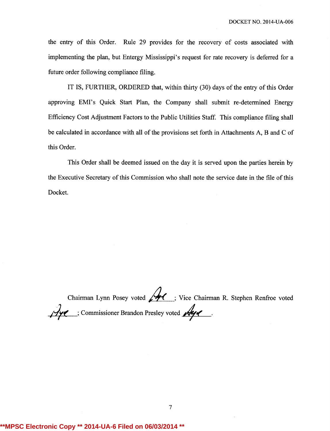the entry of this Order. Rule 29 provides for the recovery of costs associated with implementing the plan, but Entergy Mississippi's request for rate recovery is deferred for a future order following compliance filing.

IT IS, FURTHER, ORDERED that, within thirty (30) days of the entry of this Order approving EMI's Quick Start Plan, the Company shall submit re-determined Energy Efficiency Cost Adjustment Factors to the Public Utilities Staff. This compliance filing shall be calculated in accordance with all of the provisions set forth in Attachments A, B and C of this Order.

This Order shall be deemed issued on the day it is served upon the parties herein by the Executive Secretary of this Commission who shall note the service date in the file of this Docket.

Chairman Lynn Posey voted / / ; Vice Chairman R. Stephen Renfroe voted 140 : Commissioner Brandon Presley voted

# **\*\*MPSC Electronic Copy \*\* 2014-UA-6 Filed on 06/03/2014 \*\***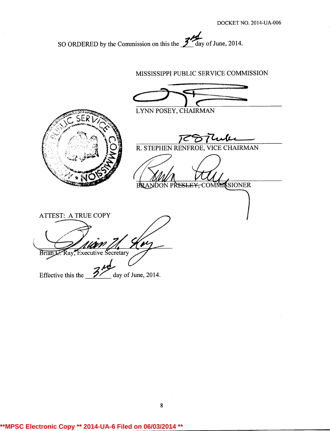SO ORDERED by the Commission on this the  $\frac{3}{4}$  day of June, 2014.

MISSISSIPPI PUBLIC SERVICE COMMISSION LYNN POSEY, CHAIRMAN R. STEPHEN RENFROE, VICE CHAIRMAN BRAMOON PRESLEY, COMMISSIONER ATTEST: A TRUE COPY Brian J. Ray, Executive Secretary Effective this the  $\sim$  day of June, 2014.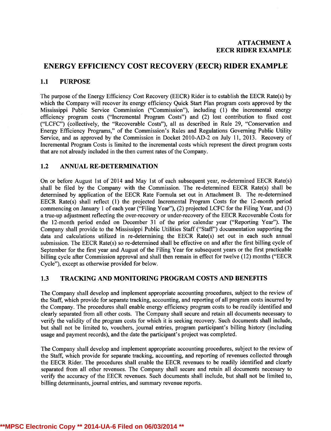## ENERGY EFFICIENCY COST RECOVERY (EECR) RIDER EXAMPLE

### 1.1 PURPOSE

The purpose of the Energy Efficiency Cost Recovery (EECR) Rider is to establish the EECR Rate(s) by which the Company will recover its energy efficiency Quick Start Plan program costs approved by the Mississippi Public Service Commission ("Commission"), including (1) the incremental energy efficiency program costs ("Incremental Program Costs") and (2) lost contribution to fixed cost ("LCFC") (collectively, the "Recoverable Costs"), all as described in Rule 29, "Conservation and Energy Efficiency Programs," of the Commission's Rules and Regulations Governing Public Utility Service, and as approved by the Commission in Docket 2010-AD-2 on July 11, 2013. Recovery of Incremental Program Costs is limited to the incremental costs which represent the direct program costs that are not already included in the then current rates of the Company.

## 1.2 ANNUAL RE-DETERMINATION

On or before August 1st of 2014 and May 1st of each subsequent year, re-determined EECR Rate(s) shall be filed by the Company with the Commission. The re-determined EECR Rate(s) shall be determined by application of the EECR Rate Formula set out in Attachment B. The re-determined EECR Rate(s) shall reflect (1) the projected Incremental Program Costs for the 12-month period commencing on January 1 of each year ("Filing Year"), (2) projected LCFC for the Filing Year, and (3) a true-up adjustment reflecting the over-recovery or under-recovery of the EECR Recoverable Costs for the 12-month period ended on December 31 of the prior calendar year ("Reporting Year"). The Company shall provide to the Mississippi Public Utilities Staff ("Staff") documentation supporting the data and calculations utilized in re-determining the EECR Rate(s) set out in each such annual submission. The EECR Rate(s) so re-determined shall be effective on and after the first billing cycle of September for the first year and August of the Filing Year for subsequent years or the first practicable billing cycle after Commission approval and shall then remain in effect for twelve (12) months ("EECR Cycle"), except as otherwise provided for below.

## 1.3 TRACKING AND MONITORING PROGRAM COSTS AND BENEFITS

The Company shall develop and implement appropriate accounting procedures, subject to the review of the Staff, which provide for separate tracking, accounting, and reporting of all program costs incurred by the Company. The procedures shall enable energy efficiency program costs to be readily identified and clearly separated from all other costs. The Company shall secure and retain all documents necessary to verify the validity of the program costs for which it is seeking recovery. Such documents shall include, but shall not be limited to, vouchers, journal entries, program participant's billing history (including usage and payment records), and the date the participant's project was completed.

The Company shall develop and implement appropriate accounting procedures, subject to the review of the Staff, which provide for separate tracking, accounting, and reporting of revenues collected through the EECR Rider. The procedures shall enable the EECR revenues to be readily identified and clearly separated from all other revenues. The Company shall secure and retain all documents necessary to verify the accuracy of the EECR revenues. Such documents shall include, but shall not be limited to, billing determinants, journal entries, and summary revenue reports.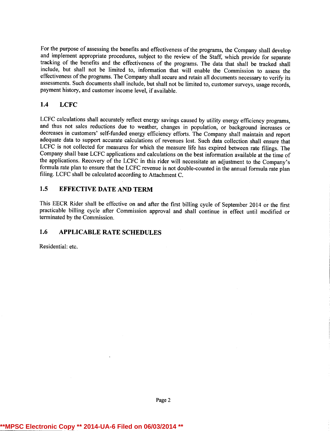For the purpose of assessing the benefits and effectiveness of the programs, the Company shall develop and implement appropriate procedures, subject to the review of the Staff, which provide for separate tracking of the benefits and the effectiveness of the programs. The data that shall be tracked shall include, but shall not be limited to, information that will enable the Commission to assess the effectiveness of the programs. The Company shall secure and retain all documents necessary to verify its assessments. Such documents shall include, but shall not be limited to, customer surveys, usage records, payment history, and customer income level, if available.

## 1.4 LCFC

LCFC calculations shall accurately reflect energy savings caused by utility energy efficiency programs, and thus not sales reductions due to weather, changes in population, or background increases or decreases in customers' self-funded energy efficiency efforts. The Company shall maintain and report adequate data to support accurate calculations of revenues lost. Such data collection shall ensure that LCFC is not collected for measures for which the measure life has expired between rate filings. The Company shall base LCFC applications and calculations on the best information available at the time of the applications. Recovery of the LCFC in this rider will necessitate an adjustment to the Company's formula rate plan to ensure that the LCFC revenue is not double-counted in the annual formula rate plan filing. LCFC shall be calculated according to Attachment C.

## 1.5 EFFECTIVE DATE AND TERM

This EECR Rider shall be effective on and after the first billing cycle of September 2014 or the first practicable billing cycle after Commission approval and shall continue in effect until modified or terminated by the Commission.

## 1.6 APPLICABLE RATE SCHEDULES

Residential: etc.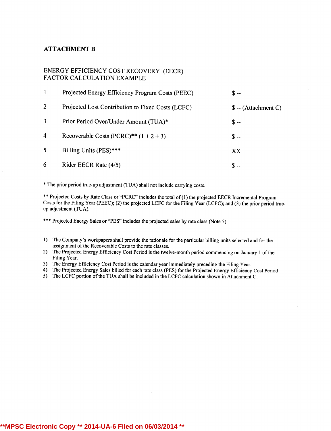#### ATTACHMENT B

#### ENERGY EFFICIENCY COST RECOVERY (EECR) FACTOR CALCULATION EXAMPLE

|                  | Projected Energy Efficiency Program Costs (PEEC)  | $S -$                 |
|------------------|---------------------------------------------------|-----------------------|
| 2                | Projected Lost Contribution to Fixed Costs (LCFC) | $\$ -- (Attachment C) |
| 3                | Prior Period Over/Under Amount (TUA)*             | $S -$                 |
| $\boldsymbol{4}$ | Recoverable Costs (PCRC)** $(1 + 2 + 3)$          | $S -$                 |
| 5                | Billing Units (PES)***                            | XX                    |
| 6                | Rider EECR Rate (4/5)                             | $S -$                 |

\* The prior period true-up adjustment (TUA) shall not include carrying costs.

\*\* Projected Costs by Rate Class or "PCRC" includes the total of (1) the projected EECR Incremental Program Costs for the Filing Year (PEEC); (2) the projected LCFC for the Filing Year (LCFC); and (3) the prior period trueup adjustment (TUA).

\*\*\* Projected Energy Sales or "PES" includes the projected sales by rate class (Note 5)

- 1) The Company's workpapers shall provide the rationale for the particular billing units selected and for the assignment of the Recoverable Costs to the rate classes.
- 2) The Projected Energy Efficiency Cost Period is the twelve-month period commencing on January 1 of the Filing Year.
- 3) The Energy Efficiency Cost Period is the calendar year immediately preceding the Filing Year.
- 4) The Projected Energy Sales billed for each rate class (PES) for the Projected Energy Efficiency Cost Period
- 5) The LCFC portion of the TUA shall be included in the LCFC calculation shown in Attachment C.